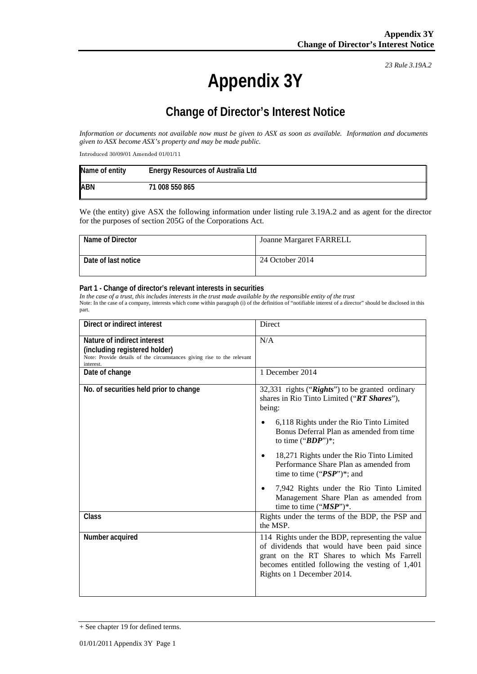*23 Rule 3.19A.2*

# **Appendix 3Y**

## **Change of Director's Interest Notice**

*Information or documents not available now must be given to ASX as soon as available. Information and documents given to ASX become ASX's property and may be made public.*

Introduced 30/09/01 Amended 01/01/11

| Name of entity | <b>Energy Resources of Australia Ltd</b> |
|----------------|------------------------------------------|
| <b>ABN</b>     | 71 008 550 865                           |

We (the entity) give ASX the following information under listing rule 3.19A.2 and as agent for the director for the purposes of section 205G of the Corporations Act.

| Name of Director    | <b>Joanne Margaret FARRELL</b> |
|---------------------|--------------------------------|
| Date of last notice | 24 October 2014                |

#### **Part 1 - Change of director's relevant interests in securities**

*In the case of a trust, this includes interests in the trust made available by the responsible entity of the trust* Note: In the case of a company, interests which come within paragraph (i) of the definition of "notifiable interest of a director" should be disclosed in this part.

| Direct or indirect interest                                                                                                                         | Direct                                                                                                                                                                                                                          |
|-----------------------------------------------------------------------------------------------------------------------------------------------------|---------------------------------------------------------------------------------------------------------------------------------------------------------------------------------------------------------------------------------|
| Nature of indirect interest<br>(including registered holder)<br>Note: Provide details of the circumstances giving rise to the relevant<br>interest. | N/A                                                                                                                                                                                                                             |
| Date of change                                                                                                                                      | 1 December 2014                                                                                                                                                                                                                 |
| No. of securities held prior to change                                                                                                              | 32,331 rights ("Rights") to be granted ordinary<br>shares in Rio Tinto Limited ("RT Shares"),<br>being:                                                                                                                         |
|                                                                                                                                                     | 6,118 Rights under the Rio Tinto Limited<br>Bonus Deferral Plan as amended from time<br>to time (" $BDP$ ")*;                                                                                                                   |
|                                                                                                                                                     | 18,271 Rights under the Rio Tinto Limited<br>$\bullet$<br>Performance Share Plan as amended from<br>time to time (" $PSP$ ")*; and                                                                                              |
|                                                                                                                                                     | 7,942 Rights under the Rio Tinto Limited<br>$\bullet$<br>Management Share Plan as amended from<br>time to time $("MSP")^*$ .                                                                                                    |
| Class                                                                                                                                               | Rights under the terms of the BDP, the PSP and<br>the MSP.                                                                                                                                                                      |
| Number acquired                                                                                                                                     | 114 Rights under the BDP, representing the value<br>of dividends that would have been paid since<br>grant on the RT Shares to which Ms Farrell<br>becomes entitled following the vesting of 1,401<br>Rights on 1 December 2014. |

<sup>+</sup> See chapter 19 for defined terms.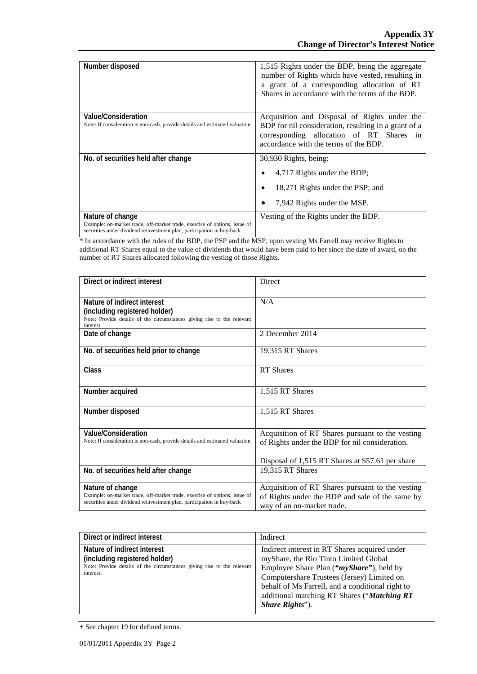| Number disposed                                                                                                                                                         | 1,515 Rights under the BDP, being the aggregate<br>number of Rights which have vested, resulting in<br>a grant of a corresponding allocation of RT<br>Shares in accordance with the terms of the BDP. |
|-------------------------------------------------------------------------------------------------------------------------------------------------------------------------|-------------------------------------------------------------------------------------------------------------------------------------------------------------------------------------------------------|
| Value/Consideration<br>Note: If consideration is non-cash, provide details and estimated valuation                                                                      | Acquisition and Disposal of Rights under the<br>BDP for nil consideration, resulting in a grant of a<br>corresponding allocation of RT Shares in<br>accordance with the terms of the BDP.             |
| No. of securities held after change                                                                                                                                     | 30,930 Rights, being:                                                                                                                                                                                 |
|                                                                                                                                                                         | 4,717 Rights under the BDP;                                                                                                                                                                           |
|                                                                                                                                                                         | 18,271 Rights under the PSP; and                                                                                                                                                                      |
|                                                                                                                                                                         | 7,942 Rights under the MSP.                                                                                                                                                                           |
| Nature of change<br>Example: on-market trade, off-market trade, exercise of options, issue of<br>securities under dividend reinvestment plan, participation in buy-back | Vesting of the Rights under the BDP.                                                                                                                                                                  |

\* In accordance with the rules of the BDP, the PSP and the MSP, upon vesting Ms Farrell may receive Rights to additional RT Shares equal to the value of dividends that would have been paid to her since the date of award, on the number of RT Shares allocated following the vesting of those Rights.

| Direct or indirect interest                                                                                                                                             | <b>Direct</b>                                                                                                                     |
|-------------------------------------------------------------------------------------------------------------------------------------------------------------------------|-----------------------------------------------------------------------------------------------------------------------------------|
| Nature of indirect interest<br>(including registered holder)<br>Note: Provide details of the circumstances giving rise to the relevant<br>interest.                     | N/A                                                                                                                               |
| Date of change                                                                                                                                                          | 2 December 2014                                                                                                                   |
| No. of securities held prior to change                                                                                                                                  | 19,315 RT Shares                                                                                                                  |
| Class                                                                                                                                                                   | <b>RT</b> Shares                                                                                                                  |
| Number acquired                                                                                                                                                         | 1,515 RT Shares                                                                                                                   |
| Number disposed                                                                                                                                                         | 1,515 RT Shares                                                                                                                   |
| Value/Consideration<br>Note: If consideration is non-cash, provide details and estimated valuation                                                                      | Acquisition of RT Shares pursuant to the vesting<br>of Rights under the BDP for nil consideration.                                |
| No. of securities held after change                                                                                                                                     | Disposal of 1,515 RT Shares at \$57.61 per share<br>19,315 RT Shares                                                              |
|                                                                                                                                                                         |                                                                                                                                   |
| Nature of change<br>Example: on-market trade, off-market trade, exercise of options, issue of<br>securities under dividend reinvestment plan, participation in buy-back | Acquisition of RT Shares pursuant to the vesting<br>of Rights under the BDP and sale of the same by<br>way of an on-market trade. |

| Direct or indirect interest                                                                                                                         | Indirect                                                                                                                                                                                                                                                                                                                |
|-----------------------------------------------------------------------------------------------------------------------------------------------------|-------------------------------------------------------------------------------------------------------------------------------------------------------------------------------------------------------------------------------------------------------------------------------------------------------------------------|
| Nature of indirect interest<br>(including registered holder)<br>Note: Provide details of the circumstances giving rise to the relevant<br>interest. | Indirect interest in RT Shares acquired under<br>myShare, the Rio Tinto Limited Global<br>Employee Share Plan (" <i>myShare</i> "), held by<br>Computershare Trustees (Jersey) Limited on<br>behalf of Ms Farrell, and a conditional right to<br>additional matching RT Shares ("Matching RT<br><i>Share Rights</i> "). |

<sup>+</sup> See chapter 19 for defined terms.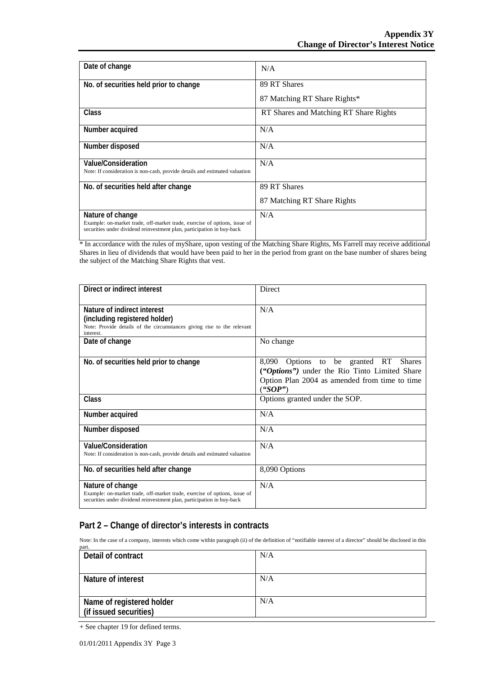| Date of change                                                                                                                                      | N/A                                    |
|-----------------------------------------------------------------------------------------------------------------------------------------------------|----------------------------------------|
| No. of securities held prior to change                                                                                                              | 89 RT Shares                           |
|                                                                                                                                                     | 87 Matching RT Share Rights*           |
| Class                                                                                                                                               | RT Shares and Matching RT Share Rights |
| Number acquired                                                                                                                                     | N/A                                    |
| Number disposed                                                                                                                                     | N/A                                    |
| Value/Consideration                                                                                                                                 | N/A                                    |
| Note: If consideration is non-cash, provide details and estimated valuation                                                                         |                                        |
| No. of securities held after change                                                                                                                 | 89 RT Shares                           |
|                                                                                                                                                     | 87 Matching RT Share Rights            |
| Nature of change                                                                                                                                    | N/A                                    |
| Example: on-market trade, off-market trade, exercise of options, issue of<br>securities under dividend reinvestment plan, participation in buy-back |                                        |

\* In accordance with the rules of myShare, upon vesting of the Matching Share Rights, Ms Farrell may receive additional Shares in lieu of dividends that would have been paid to her in the period from grant on the base number of shares being the subject of the Matching Share Rights that vest.

| Direct or indirect interest                                                                                                                                             | Direct                                                                                                                                                   |
|-------------------------------------------------------------------------------------------------------------------------------------------------------------------------|----------------------------------------------------------------------------------------------------------------------------------------------------------|
| Nature of indirect interest<br>(including registered holder)<br>Note: Provide details of the circumstances giving rise to the relevant<br>interest.                     | N/A                                                                                                                                                      |
| Date of change                                                                                                                                                          | No change                                                                                                                                                |
| No. of securities held prior to change                                                                                                                                  | Options to be granted RT Shares<br>8,090<br>("Options") under the Rio Tinto Limited Share<br>Option Plan 2004 as amended from time to time<br>$($ "SOP") |
| Class                                                                                                                                                                   | Options granted under the SOP.                                                                                                                           |
| Number acquired                                                                                                                                                         | N/A                                                                                                                                                      |
| Number disposed                                                                                                                                                         | N/A                                                                                                                                                      |
| Value/Consideration<br>Note: If consideration is non-cash, provide details and estimated valuation                                                                      | N/A                                                                                                                                                      |
| No. of securities held after change                                                                                                                                     | 8,090 Options                                                                                                                                            |
| Nature of change<br>Example: on-market trade, off-market trade, exercise of options, issue of<br>securities under dividend reinvestment plan, participation in buy-back | N/A                                                                                                                                                      |

### **Part 2 – Change of director's interests in contracts**

Note: In the case of a company, interests which come within paragraph (ii) of the definition of "notifiable interest of a director" should be disclosed in this part.

| Detail of contract        | N/A |
|---------------------------|-----|
|                           |     |
| Nature of interest        | N/A |
|                           |     |
|                           | N/A |
| Name of registered holder |     |
| (if issued securities)    |     |

<sup>+</sup> See chapter 19 for defined terms.